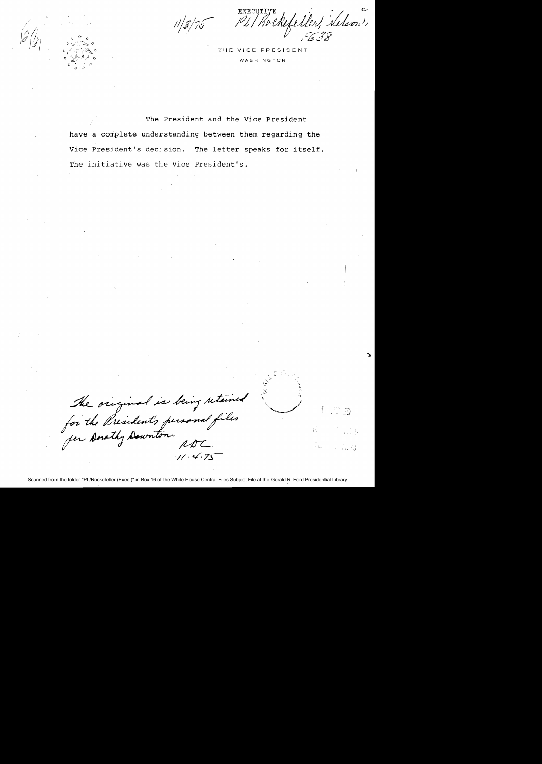Pl/hockefeller, helson,

THE VICE PRESIDENT WASHINGTON

The President and the Vice President have a complete understanding between them regarding the Vice President's decision. The letter speaks for itself. The initiative was the Vice President's.

The original is being retained<br>for the President's personal files<br>for Downton. RDL.  $11.4.75$ 

KOR 4 375 Gallery Cardo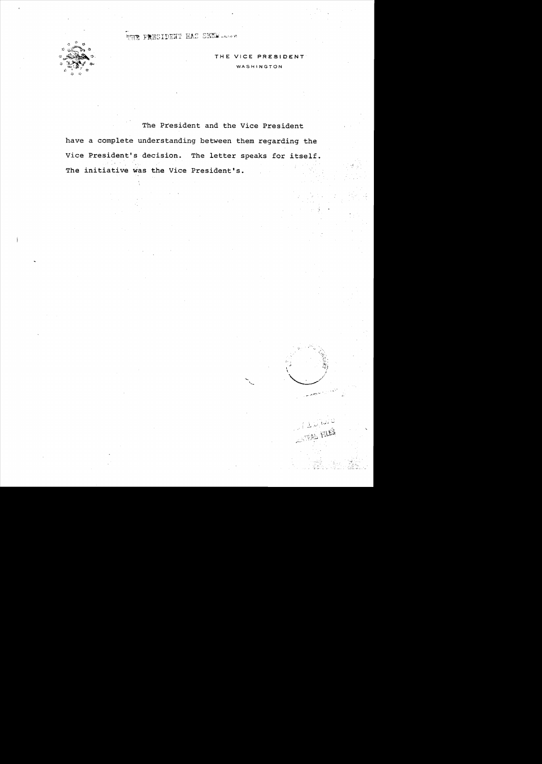THE PRESIDENT HAS SEEN .....



THE VICE PRESIDENT WASHINGTON

 $\delta \vec{M}$ 

The President and the Vice President have a complete understanding between them regarding the Vice President's decision. The letter speaks for itself. The initiative was the Vice President's.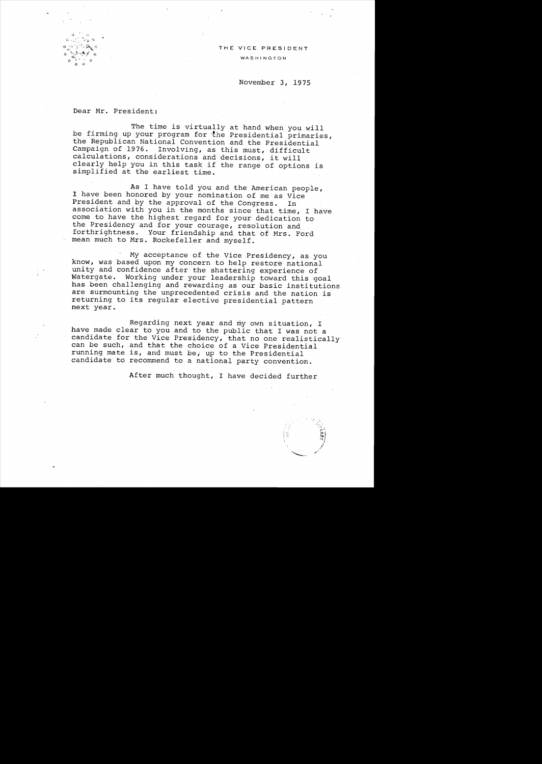## THE VICE PRESIDENT

WASHINGTON

## November 3, 1975

Dear Mr. President:

 $\nu$  ,  $\nu$  ,  $\nu$  ,  $\nu$ 

1:; *"'::r/"/'0\--11* Q.  $\approx$  .  $\sim$  $\mathbf{r} = \begin{pmatrix} \mathbf{x}_1 & \mathbf{y}_1 & \mathbf{y}_2 & \mathbf{y}_3 & \mathbf{y}_4 & \mathbf{y}_5 & \mathbf{y}_6 & \mathbf{y}_7 & \mathbf{y}_7 & \mathbf{y}_7 & \mathbf{y}_7 & \mathbf{y}_7 & \mathbf{y}_7 & \mathbf{y}_7 & \mathbf{y}_7 & \mathbf{y}_7 & \mathbf{y}_7 & \mathbf{y}_7 & \mathbf{y}_7 & \mathbf{y}_7 & \mathbf{y}_7 & \mathbf{y}_7 & \mathbf{y}_7 & \mathbf{y}_7 & \mathbf{y}_7 & \mathbf{y}_7 &$ 

> The time is virtually at hand when you will be firming up your program for the Presidential primaries, the Republican National Convention and the Presidential Campaign of 1976. Involving, as this must, difficult calculations, considerations and decisions, it will clearly help you in this task if the range of options is simplified at the earliest time. .

> As I have told you and the American people, I have been honored by your nomination of me as Vice President and by the approval of the Congress. In association with you in the months since that time, I have come to have the highest regard for your dedication to the Presidency and for your courage, resolution and forthrightness. Your friendship and that of Mrs. Ford mean much to Mrs. Rockefeller and myself.

My acceptance of the Vice Presidency, as you know, was based upon my concern to help restore national unity and confidence after the shattering experience of Watergate. Working under your leadership toward this goal has been challenging and rewarding as our basic institutions are surmounting the unprecedented crisis and the nation is returning to its regular elective presidential pattern next year.

Regarding next year and my own situation, I have made clear to you and to the public that I was not a candidate for the Vice Presidency, that no one realistically can be such, .and that the choice of a Vice Presidential running mate is, and must be, up to the Presidential candidate to recommend to a national party convention.

After much thought, I have decided further